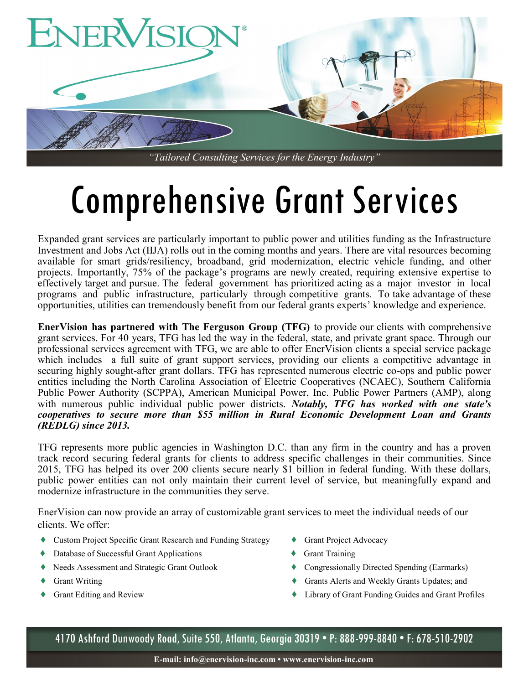

## Comprehensive Grant Services

Expanded grant services are particularly important to public power and utilities funding as the Infrastructure Investment and Jobs Act (IIJA) rolls out in the coming months and years. There are vital resources becoming available for smart grids/resiliency, broadband, grid modernization, electric vehicle funding, and other projects. Importantly, 75% of the package's programs are newly created, requiring extensive expertise to effectively target and pursue. The federal government has prioritized acting as a major investor in local programs and public infrastructure, particularly through competitive grants. To take advantage of these opportunities, utilities can tremendously benefit from our federal grants experts' knowledge and experience.

**EnerVision has partnered with The Ferguson Group (TFG)** to provide our clients with comprehensive grant services. For 40 years, TFG has led the way in the federal, state, and private grant space. Through our professional services agreement with TFG, we are able to offer EnerVision clients a special service package which includes a full suite of grant support services, providing our clients a competitive advantage in securing highly sought-after grant dollars. TFG has represented numerous electric co-ops and public power entities including the North Carolina Association of Electric Cooperatives (NCAEC), Southern California Public Power Authority (SCPPA), American Municipal Power, Inc. Public Power Partners (AMP), along with numerous public individual public power districts. *Notably, TFG has worked with one state's cooperatives to secure more than \$55 million in Rural Economic Development Loan and Grants (REDLG) since 2013.*

TFG represents more public agencies in Washington D.C. than any firm in the country and has a proven track record securing federal grants for clients to address specific challenges in their communities. Since 2015, TFG has helped its over 200 clients secure nearly \$1 billion in federal funding. With these dollars, public power entities can not only maintain their current level of service, but meaningfully expand and modernize infrastructure in the communities they serve.

EnerVision can now provide an array of customizable grant services to meet the individual needs of our clients. We offer:

- ♦ Custom Project Specific Grant Research and Funding Strategy ♦ Grant Project Advocacy
- ♦ Database of Successful Grant Applications ♦ Grant Training
- ♦ Needs Assessment and Strategic Grant Outlook ♦ Congressionally Directed Spending (Earmarks)
- 
- 
- 
- 
- 
- ◆ Grant Writing ◆ Grants Alerts and Weekly Grants Updates; and
	- ♦ Grant Editing and Review ♦ Library of Grant Funding Guides and Grant Profiles

4170 Ashford Dunwoody Road, Suite 550, Atlanta, Georgia 30319 • P: 888-999-8840 • F: 678-510-2902